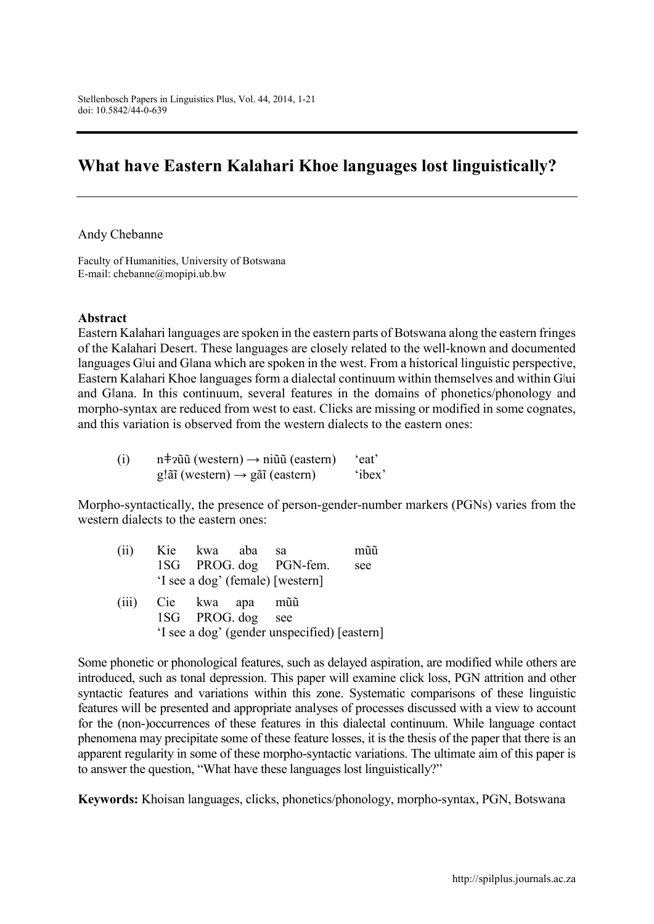# **What have Eastern Kalahari Khoe languages lost linguistically?**

Andy Chebanne

Faculty of Humanities, University of Botswana E-mail: [chebanne@mopipi.ub.bw](mailto:chebanne@mopipi.ub.bw)

#### **Abstract**

Eastern Kalahari languages are spoken in the eastern parts of Botswana along the eastern fringes of the Kalahari Desert. These languages are closely related to the well-known and documented languages Glui and Glana which are spoken in the west. From a historical linguistic perspective, Eastern Kalahari Khoe languages form a dialectal continuum within themselves and within G|ui and Gǁana. In this continuum, several features in the domains of phonetics/phonology and morpho-syntax are reduced from west to east. Clicks are missing or modified in some cognates, and this variation is observed from the western dialects to the eastern ones:

| (i) | $n \neq 2$ î (western) $\rightarrow$ ni î (eastern)     | 'eat'  |
|-----|---------------------------------------------------------|--------|
|     | $g\ddot{\rm a}$ î (western) $\rightarrow$ gãi (eastern) | 'ibex' |

Morpho-syntactically, the presence of person-gender-number markers (PGNs) varies from the western dialects to the eastern ones:

| (ii)  | Kie kwa aba       | sa                                           | mũũ |
|-------|-------------------|----------------------------------------------|-----|
|       |                   | 1SG PROG. dog PGN-fem.                       | see |
|       |                   | 'I see a dog' (female) [western]             |     |
| (iii) | Cie kwa apa       | mũũ                                          |     |
|       | 1SG PROG. dog see |                                              |     |
|       |                   | 'I see a dog' (gender unspecified) [eastern] |     |

Some phonetic or phonological features, such as delayed aspiration, are modified while others are introduced, such as tonal depression. This paper will examine click loss, PGN attrition and other syntactic features and variations within this zone. Systematic comparisons of these linguistic features will be presented and appropriate analyses of processes discussed with a view to account for the (non-)occurrences of these features in this dialectal continuum. While language contact phenomena may precipitate some of these feature losses, it is the thesis of the paper that there is an apparent regularity in some of these morpho-syntactic variations. The ultimate aim of this paper is to answer the question, "What have these languages lost linguistically?"

**Keywords:** Khoisan languages, clicks, phonetics/phonology, morpho-syntax, PGN, Botswana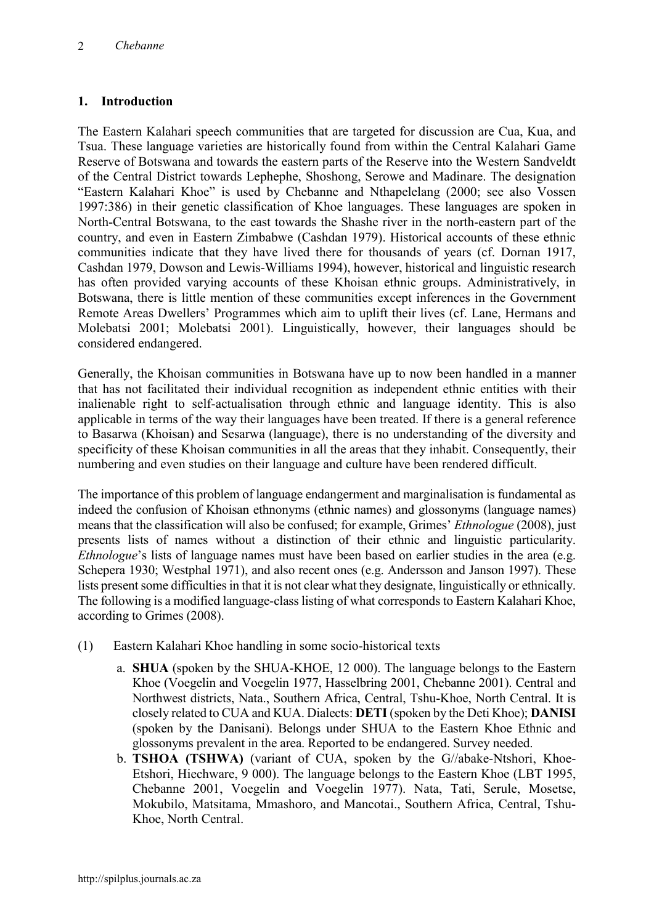## **1. Introduction**

The Eastern Kalahari speech communities that are targeted for discussion are Cua, Kua, and Tsua. These language varieties are historically found from within the Central Kalahari Game Reserve of Botswana and towards the eastern parts of the Reserve into the Western Sandveldt of the Central District towards Lephephe, Shoshong, Serowe and Madinare. The designation "Eastern Kalahari Khoe" is used by Chebanne and Nthapelelang (2000; see also Vossen 1997:386) in their genetic classification of Khoe languages. These languages are spoken in North-Central Botswana, to the east towards the Shashe river in the north-eastern part of the country, and even in Eastern Zimbabwe (Cashdan 1979). Historical accounts of these ethnic communities indicate that they have lived there for thousands of years (cf. Dornan 1917, Cashdan 1979, Dowson and Lewis-Williams 1994), however, historical and linguistic research has often provided varying accounts of these Khoisan ethnic groups. Administratively, in Botswana, there is little mention of these communities except inferences in the Government Remote Areas Dwellers' Programmes which aim to uplift their lives (cf. Lane, Hermans and Molebatsi 2001; Molebatsi 2001). Linguistically, however, their languages should be considered endangered.

Generally, the Khoisan communities in Botswana have up to now been handled in a manner that has not facilitated their individual recognition as independent ethnic entities with their inalienable right to self-actualisation through ethnic and language identity. This is also applicable in terms of the way their languages have been treated. If there is a general reference to Basarwa (Khoisan) and Sesarwa (language), there is no understanding of the diversity and specificity of these Khoisan communities in all the areas that they inhabit. Consequently, their numbering and even studies on their language and culture have been rendered difficult.

The importance of this problem of language endangerment and marginalisation is fundamental as indeed the confusion of Khoisan ethnonyms (ethnic names) and glossonyms (language names) means that the classification will also be confused; for example, Grimes' *Ethnologue* (2008), just presents lists of names without a distinction of their ethnic and linguistic particularity. *Ethnologue*'s lists of language names must have been based on earlier studies in the area (e.g. Schepera 1930; Westphal 1971), and also recent ones (e.g. Andersson and Janson 1997). These lists present some difficulties in that it is not clear what they designate, linguistically or ethnically. The following is a modified language-class listing of what corresponds to Eastern Kalahari Khoe, according to Grimes (2008).

- (1) Eastern Kalahari Khoe handling in some socio-historical texts
	- a. **SHUA** (spoken by the SHUA-KHOE, 12 000). The language belongs to the Eastern Khoe (Voegelin and Voegelin 1977, Hasselbring 2001, Chebanne 2001). Central and Northwest districts, Nata., Southern Africa, Central, Tshu-Khoe, North Central. It is closely related to CUA and KUA. Dialects: **DETI**(spoken by the Deti Khoe); **DANISI**  (spoken by the Danisani). Belongs under SHUA to the Eastern Khoe Ethnic and glossonyms prevalent in the area. Reported to be endangered. Survey needed.
	- b. **TSHOA (TSHWA)** (variant of CUA, spoken by the G//abake-Ntshori, Khoe-Etshori, Hiechware, 9 000). The language belongs to the Eastern Khoe (LBT 1995, Chebanne 2001, Voegelin and Voegelin 1977). Nata, Tati, Serule, Mosetse, Mokubilo, Matsitama, Mmashoro, and Mancotai., Southern Africa, Central, Tshu-Khoe, North Central.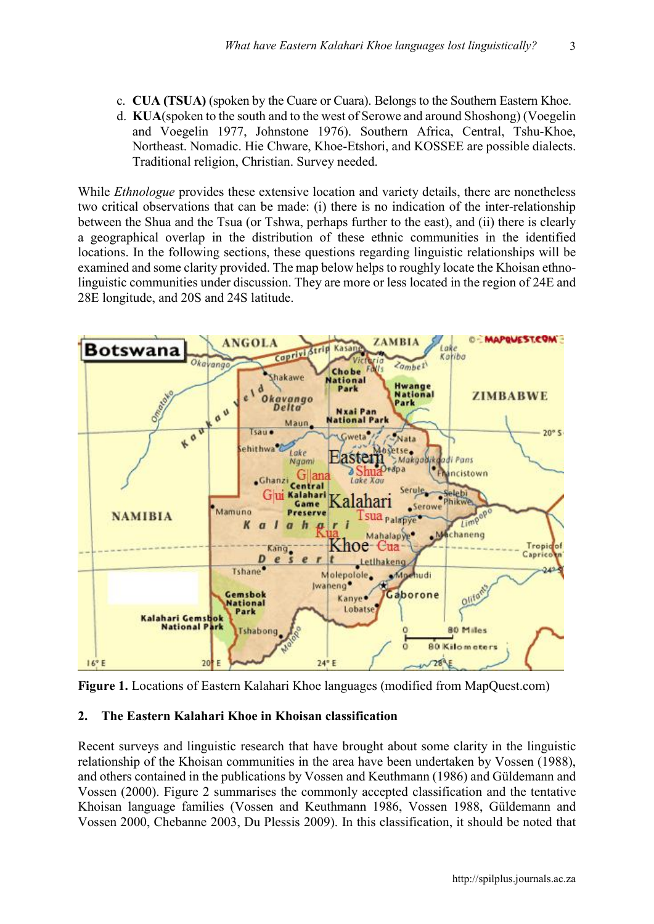3

- c. **CUA (TSUA)** (spoken by the Cuare or Cuara). Belongs to the Southern Eastern Khoe.
- d. **KUA**(spoken to the south and to the west of Serowe and around Shoshong) (Voegelin and Voegelin 1977, Johnstone 1976). Southern Africa, Central, Tshu-Khoe, Northeast. Nomadic. Hie Chware, Khoe-Etshori, and KOSSEE are possible dialects. Traditional religion, Christian. Survey needed.

While *Ethnologue* provides these extensive location and variety details, there are nonetheless two critical observations that can be made: (i) there is no indication of the inter-relationship between the Shua and the Tsua (or Tshwa, perhaps further to the east), and (ii) there is clearly a geographical overlap in the distribution of these ethnic communities in the identified locations. In the following sections, these questions regarding linguistic relationships will be examined and some clarity provided. The map below helps to roughly locate the Khoisan ethnolinguistic communities under discussion. They are more or less located in the region of 24E and 28E longitude, and 20S and 24S latitude.



**Figure 1.** Locations of Eastern Kalahari Khoe languages (modified from MapQuest.com)

#### **2. The Eastern Kalahari Khoe in Khoisan classification**

Recent surveys and linguistic research that have brought about some clarity in the linguistic relationship of the Khoisan communities in the area have been undertaken by Vossen (1988), and others contained in the publications by Vossen and Keuthmann (1986) and Güldemann and Vossen (2000). Figure 2 summarises the commonly accepted classification and the tentative Khoisan language families (Vossen and Keuthmann 1986, Vossen 1988, Güldemann and Vossen 2000, Chebanne 2003, Du Plessis 2009). In this classification, it should be noted that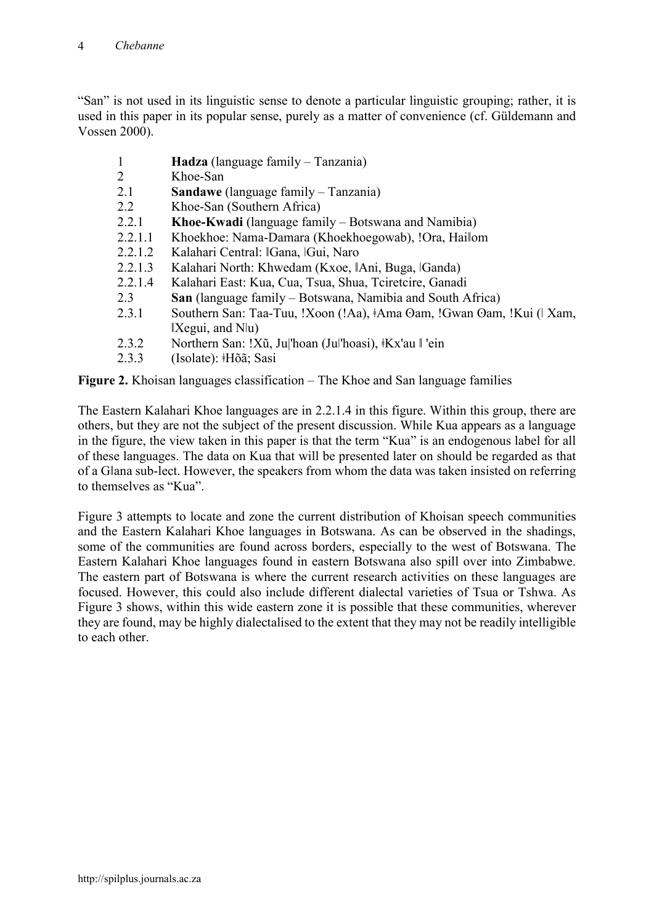"San" is not used in its linguistic sense to denote a particular linguistic grouping; rather, it is used in this paper in its popular sense, purely as a matter of convenience (cf. Güldemann and Vossen 2000).

- 1 **Hadza** (language family Tanzania)
- 2 Khoe-San<br>2.1 Sandawe
- **Sandawe** (language family Tanzania)
- 2.2 Khoe-San (Southern Africa)
- 2.2.1 **Khoe-Kwadi** (language family Botswana and Namibia)
- 2.2.1.1 Khoekhoe: Nama-Damara (Khoekhoegowab), !Ora, Hailom
- 2.2.1.2 Kalahari Central: ǁGana, ǀGui, Naro
- 2.2.1.3 Kalahari North: Khwedam (Kxoe, IAni, Buga, *IGanda*)<br>2.2.1.4 Kalahari East: Kua. Cua. Tsua. Shua. Tciretcire. Ganad
- 2.2.1.4 Kalahari East: Kua, Cua, Tsua, Shua, Tciretcire, Ganadi
- 2.3 **San** (language family Botswana, Namibia and South Africa)
- 2.3.1 Southern San: Taa-Tuu, !Xoon (!Aa), ‡Ama Oam, !Gwan Oam, !Kui (∣Xam,  $|X$ egui, and  $N|u\rangle$
- 2.3.2 Northern San: !Xũ, Ju|'hoan (Ju|'hoasi),  $\frac{1}{2}Kx$ 'au  $\parallel$ 'ein
- 2.3.3 (Isolate): ǂHõã; Sasi

**Figure 2.** Khoisan languages classification – The Khoe and San language families

The Eastern Kalahari Khoe languages are in 2.2.1.4 in this figure. Within this group, there are others, but they are not the subject of the present discussion. While Kua appears as a language in the figure, the view taken in this paper is that the term "Kua" is an endogenous label for all of these languages. The data on Kua that will be presented later on should be regarded as that of a Gǁana sub-lect. However, the speakers from whom the data was taken insisted on referring to themselves as "Kua".

Figure 3 attempts to locate and zone the current distribution of Khoisan speech communities and the Eastern Kalahari Khoe languages in Botswana. As can be observed in the shadings, some of the communities are found across borders, especially to the west of Botswana. The Eastern Kalahari Khoe languages found in eastern Botswana also spill over into Zimbabwe. The eastern part of Botswana is where the current research activities on these languages are focused. However, this could also include different dialectal varieties of Tsua or Tshwa. As Figure 3 shows, within this wide eastern zone it is possible that these communities, wherever they are found, may be highly dialectalised to the extent that they may not be readily intelligible to each other.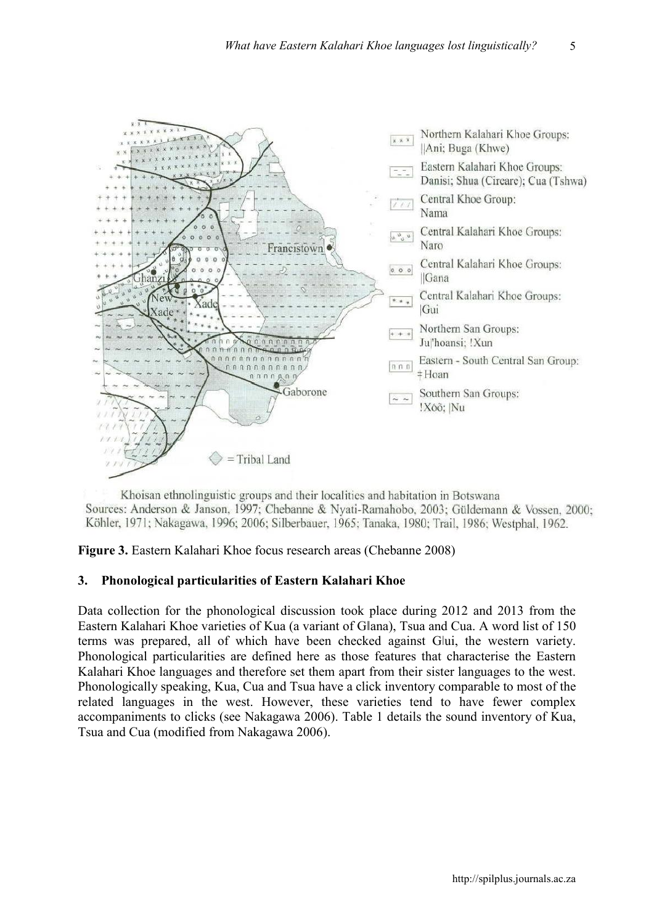

Khoisan ethnolinguistic groups and their localities and habitation in Botswana Sources: Anderson & Janson, 1997; Chebanne & Nyati-Ramahobo, 2003; Güldemann & Vossen, 2000; Köhler, 1971; Nakagawa, 1996; 2006; Silberbauer, 1965; Tanaka, 1980; Trail, 1986; Westphal, 1962.

**Figure 3.** Eastern Kalahari Khoe focus research areas (Chebanne 2008)

## **3. Phonological particularities of Eastern Kalahari Khoe**

Data collection for the phonological discussion took place during 2012 and 2013 from the Eastern Kalahari Khoe varieties of Kua (a variant of Gǁana), Tsua and Cua. A word list of 150 terms was prepared, all of which have been checked against Glui, the western variety. Phonological particularities are defined here as those features that characterise the Eastern Kalahari Khoe languages and therefore set them apart from their sister languages to the west. Phonologically speaking, Kua, Cua and Tsua have a click inventory comparable to most of the related languages in the west. However, these varieties tend to have fewer complex accompaniments to clicks (see Nakagawa 2006). Table 1 details the sound inventory of Kua, Tsua and Cua (modified from Nakagawa 2006).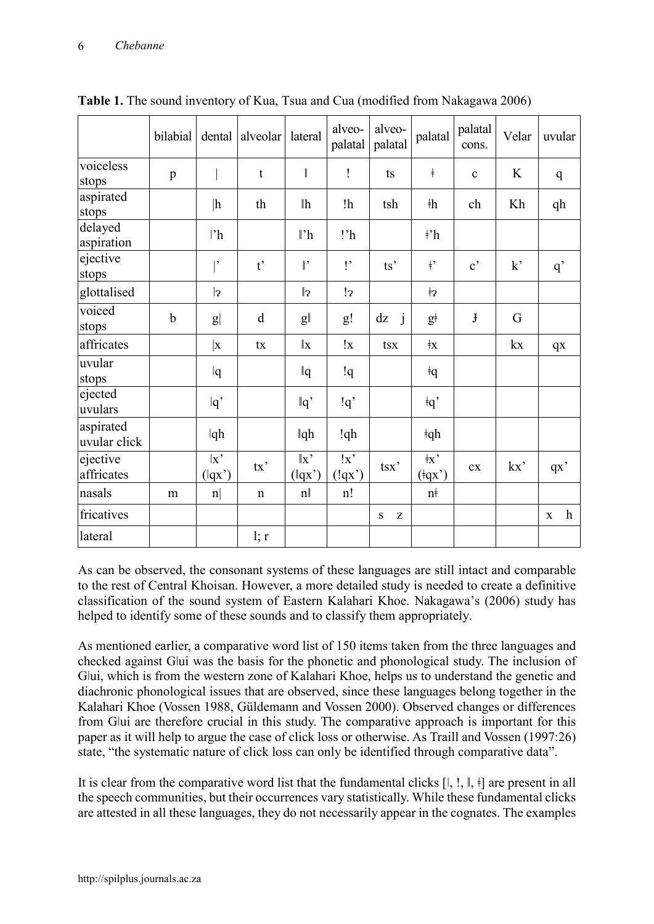|                           | bilabial    | dental                | alveolar     | lateral                  | alveo-<br>palatal              | alveo-<br>palatal         | palatal                                             | palatal<br>cons.      | Velar        | uvular                      |
|---------------------------|-------------|-----------------------|--------------|--------------------------|--------------------------------|---------------------------|-----------------------------------------------------|-----------------------|--------------|-----------------------------|
| voiceless<br>stops        | p           |                       | $\mathbf t$  |                          | Ţ                              | ts                        | $\ddagger$                                          | $\mathbf c$           | K            | $\mathbf q$                 |
| aspirated<br>stops        |             | h                     | th           | $\mathbb{I}$ h           | !h                             | tsh                       | $\dagger h$                                         | ch                    | Kh           | qh                          |
| delayed<br>aspiration     |             | $ {}^{\prime}$ h      |              | $\mathbf{P}$             | !'h                            |                           | $\frac{1}{2}$                                       |                       |              |                             |
| ejective<br>stops         |             |                       | $t^{\prime}$ | $\mathbb{I}$             | $\mathsf{I}$                   | ts'                       | $\dagger$                                           | $\mathbf{c}^{\prime}$ | $k^{\prime}$ | q'                          |
| glottalised               |             | 2                     |              | $\mathbb{I}_2$           | $\overline{12}$                |                           | ŧ2                                                  |                       |              |                             |
| voiced<br>stops           | $\mathbf b$ | $\lvert g \rvert$     | d            | $g\ $                    | g!                             | j<br>dz                   | $g+$                                                | $\mathbf{J}$          | G            |                             |
| affricates                |             | $\vert x \vert$       | tx           | $\ {\bf x}$              | !x                             | tsx                       | $\ddagger$                                          |                       | kx           | qX                          |
| uvular<br>stops           |             | q                     |              | $\mathbb{q}$             | !q                             |                           | $\dagger q$                                         |                       |              |                             |
| ejected<br>uvulars        |             | $ q\rangle$           |              | $\lg$                    | !q                             |                           | $\overline{q}$                                      |                       |              |                             |
| aspirated<br>uvular click |             | qh                    |              | $\mathbb{q}$ h           | !qh                            |                           | $\dagger$ qh                                        |                       |              |                             |
| ejective<br>affricates    |             | x<br>$(\mathsf{q}x')$ | tx'          | $\ x\>$<br>$(\vert qx')$ | !x<br>$(\mathbf{q}x^{\prime})$ | $\text{tsx}$              | $\dagger x$<br>$(\overline{\mathsf{q}}\mathsf{x}')$ | cx                    | kx           | qx'                         |
| nasals                    | m           | $\lfloor n \rfloor$   | $\mathbf n$  | n                        | n!                             |                           | $n+$                                                |                       |              |                             |
| fricatives                |             |                       |              |                          |                                | $\mathbf{Z}$<br>${\bf S}$ |                                                     |                       |              | $\mathbf h$<br>$\mathbf{X}$ |
| lateral                   |             |                       | l; r         |                          |                                |                           |                                                     |                       |              |                             |

**Table 1.** The sound inventory of Kua, Tsua and Cua (modified from Nakagawa 2006)

As can be observed, the consonant systems of these languages are still intact and comparable to the rest of Central Khoisan. However, a more detailed study is needed to create a definitive classification of the sound system of Eastern Kalahari Khoe. Nakagawa's (2006) study has helped to identify some of these sounds and to classify them appropriately.

As mentioned earlier, a comparative word list of 150 items taken from the three languages and checked against Gǀui was the basis for the phonetic and phonological study. The inclusion of Glui, which is from the western zone of Kalahari Khoe, helps us to understand the genetic and diachronic phonological issues that are observed, since these languages belong together in the Kalahari Khoe (Vossen 1988, Güldemann and Vossen 2000). Observed changes or differences from Glui are therefore crucial in this study. The comparative approach is important for this paper as it will help to argue the case of click loss or otherwise. As Traill and Vossen (1997:26) state, "the systematic nature of click loss can only be identified through comparative data".

It is clear from the comparative word list that the fundamental clicks  $[I, I, \mathbb{I}]$ ,  $\neq$  are present in all the speech communities, but their occurrences vary statistically. While these fundamental clicks are attested in all these languages, they do not necessarily appear in the cognates. The examples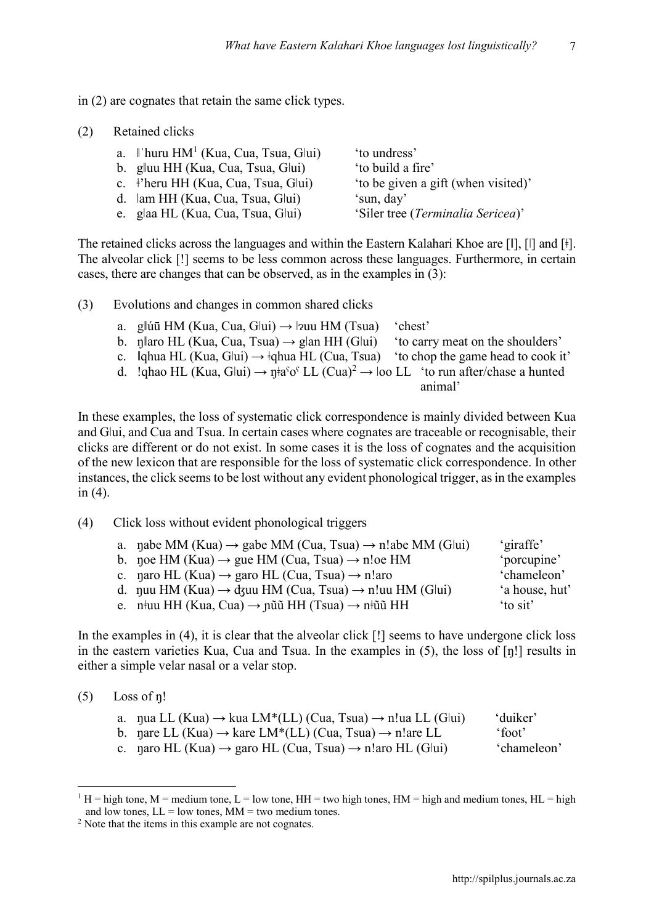7

- in (2) are cognates that retain the same click types.
- (2) Retained clicks

| a.    huru $HM^1$ (Kua, Cua, Tsua, Glui)        | to undress'                         |
|-------------------------------------------------|-------------------------------------|
| b. gluu HH (Kua, Cua, Tsua, Glui)               | 'to build a fire'                   |
| c. <sup>†</sup> 'heru HH (Kua, Cua, Tsua, Glui) | 'to be given a gift (when visited)' |
| d. lam HH (Kua, Cua, Tsua, Glui)                | 'sun, day'                          |
| e. glaa HL (Kua, Cua, Tsua, Glui)               | 'Siler tree (Terminalia Sericea)'   |
|                                                 |                                     |

The retained clicks across the languages and within the Eastern Kalahari Khoe are [ǁ], [ǀ] and [ǂ]. The alveolar click [!] seems to be less common across these languages. Furthermore, in certain cases, there are changes that can be observed, as in the examples in (3):

- (3) Evolutions and changes in common shared clicks
	- a. glúū HM (Kua, Cua, Glui)  $\rightarrow$  |zuu HM (Tsua) 'chest' b. n||aro HL (Kua, Cua, Tsua)  $\rightarrow$  g|an HH (G|ui) 'to carry meat on the shoulders' c. ǁqhua HL (Kua, Gǀui) → ǂqhua HL (Cua, Tsua) 'to chop the game head to cook it' d. !ghao HL (Kua, G|ui)  $\rightarrow$  n $\frac{1}{6}a^{6}$  LL (Cua)<sup>2</sup>  $\rightarrow$  loo LL 'to run after/chase a hunted animal'

In these examples, the loss of systematic click correspondence is mainly divided between Kua and Glui, and Cua and Tsua. In certain cases where cognates are traceable or recognisable, their clicks are different or do not exist. In some cases it is the loss of cognates and the acquisition of the new lexicon that are responsible for the loss of systematic click correspondence. In other instances, the click seems to be lost without any evident phonological trigger, as in the examples in (4).

(4) Click loss without evident phonological triggers

| a. nabe MM (Kua) $\rightarrow$ gabe MM (Cua, Tsua) $\rightarrow$ n!abe MM (Glui) | 'giraffe'      |
|----------------------------------------------------------------------------------|----------------|
| b. noe HM (Kua) $\rightarrow$ gue HM (Cua, Tsua) $\rightarrow$ n!oe HM           | 'porcupine'    |
| c. naro HL (Kua) $\rightarrow$ garo HL (Cua, Tsua) $\rightarrow$ n!aro           | 'chameleon'    |
| d. nuu HM (Kua) $\rightarrow$ dzuu HM (Cua, Tsua) $\rightarrow$ n!uu HM (Glui)   | 'a house, hut' |
| e. n#uu HH (Kua, Cua) $\rightarrow$ nũũ HH (Tsua) $\rightarrow$ n#ũũ HH          | to sit'        |

In the examples in  $(4)$ , it is clear that the alveolar click  $[!]$  seems to have undergone click loss in the eastern varieties Kua, Cua and Tsua. In the examples in (5), the loss of [ŋǃ] results in either a simple velar nasal or a velar stop.

 $(5)$  Loss of n!

| a. nua LL (Kua) $\rightarrow$ kua LM*(LL) (Cua, Tsua) $\rightarrow$ n!ua LL (Glui) | 'duiker'    |
|------------------------------------------------------------------------------------|-------------|
| b. nare LL (Kua) $\rightarrow$ kare LM*(LL) (Cua, Tsua) $\rightarrow$ n!are LL     | 'foot'      |
| c. naro HL (Kua) $\rightarrow$ garo HL (Cua, Tsua) $\rightarrow$ n!aro HL (Glui)   | 'chameleon' |

 $1 H =$  high tone, M = medium tone, L = low tone, HH = two high tones, HM = high and medium tones, HL = high and low tones,  $LL =$  low tones,  $MM =$  two medium tones.

<sup>2</sup> Note that the items in this example are not cognates.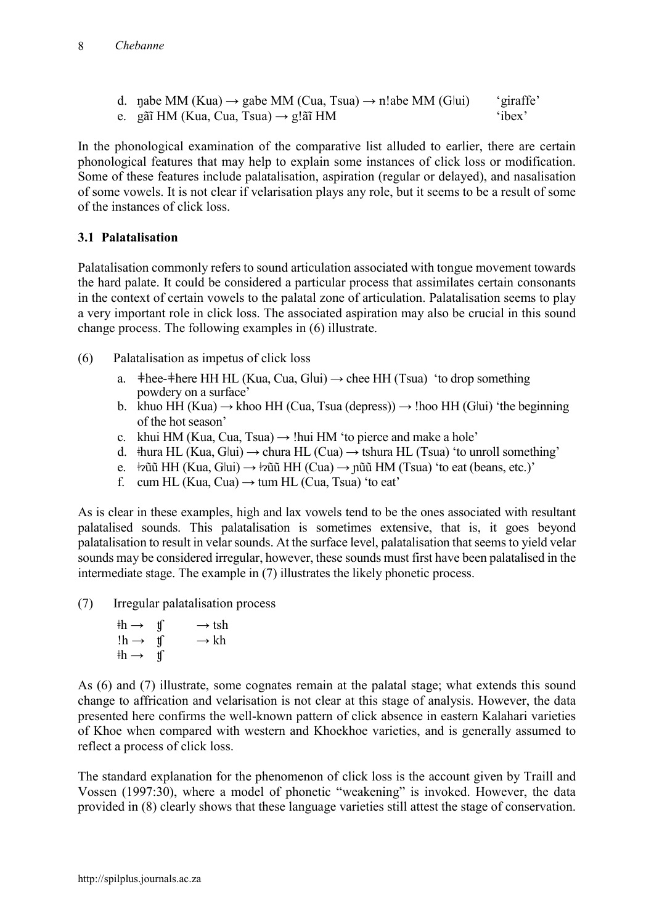- d. nabe MM (Kua)  $\rightarrow$  gabe MM (Cua, Tsua)  $\rightarrow$  n!abe MM (G|ui) 'giraffe'
- e. gãi HM (Kua, Cua, Tsua)  $\rightarrow$  g!ãi HM  $\quad$  'ibex'

In the phonological examination of the comparative list alluded to earlier, there are certain phonological features that may help to explain some instances of click loss or modification. Some of these features include palatalisation, aspiration (regular or delayed), and nasalisation of some vowels. It is not clear if velarisation plays any role, but it seems to be a result of some of the instances of click loss.

## **3.1 Palatalisation**

Palatalisation commonly refers to sound articulation associated with tongue movement towards the hard palate. It could be considered a particular process that assimilates certain consonants in the context of certain vowels to the palatal zone of articulation. Palatalisation seems to play a very important role in click loss. The associated aspiration may also be crucial in this sound change process. The following examples in (6) illustrate.

- (6) Palatalisation as impetus of click loss
	- a.  $\pm$ hee- $\pm$ here HH HL (Kua, Cua, G $|$ ui)  $\rightarrow$  chee HH (Tsua) 'to drop something powdery on a surface'
	- b. khuo HH (Kua)  $\rightarrow$  khoo HH (Cua, Tsua (depress))  $\rightarrow$  !hoo HH (G|ui) 'the beginning of the hot season'
	- c. khui HM (Kua, Cua, Tsua)  $\rightarrow$  !hui HM 'to pierce and make a hole'
	- d.  $\#$ hura HL (Kua, G|ui)  $\rightarrow$  chura HL (Cua)  $\rightarrow$  tshura HL (Tsua) 'to unroll something'
	- e.  $\frac{1}{2}$ pũũ HH (Kua, G|ui)  $\rightarrow \frac{1}{2}$ ũũ HH (Cua)  $\rightarrow$  nũũ HM (Tsua) 'to eat (beans, etc.)'
	- f. cum HL (Kua, Cua)  $\rightarrow$  tum HL (Cua, Tsua) 'to eat'

As is clear in these examples, high and lax vowels tend to be the ones associated with resultant palatalised sounds. This palatalisation is sometimes extensive, that is, it goes beyond palatalisation to result in velar sounds. At the surface level, palatalisation that seems to yield velar sounds may be considered irregular, however, these sounds must first have been palatalised in the intermediate stage. The example in (7) illustrates the likely phonetic process.

(7) Irregular palatalisation process

| $\nexists$ h $\rightarrow$ |                | $\rightarrow$ tsh |
|----------------------------|----------------|-------------------|
| $!h \rightarrow$           | $\mathfrak{t}$ | $\rightarrow$ kh  |
| $\nexists$ h $\rightarrow$ | $\mathbf{u}$   |                   |

As (6) and (7) illustrate, some cognates remain at the palatal stage; what extends this sound change to affrication and velarisation is not clear at this stage of analysis. However, the data presented here confirms the well-known pattern of click absence in eastern Kalahari varieties of Khoe when compared with western and Khoekhoe varieties, and is generally assumed to reflect a process of click loss.

The standard explanation for the phenomenon of click loss is the account given by Traill and Vossen (1997:30), where a model of phonetic "weakening" is invoked. However, the data provided in (8) clearly shows that these language varieties still attest the stage of conservation.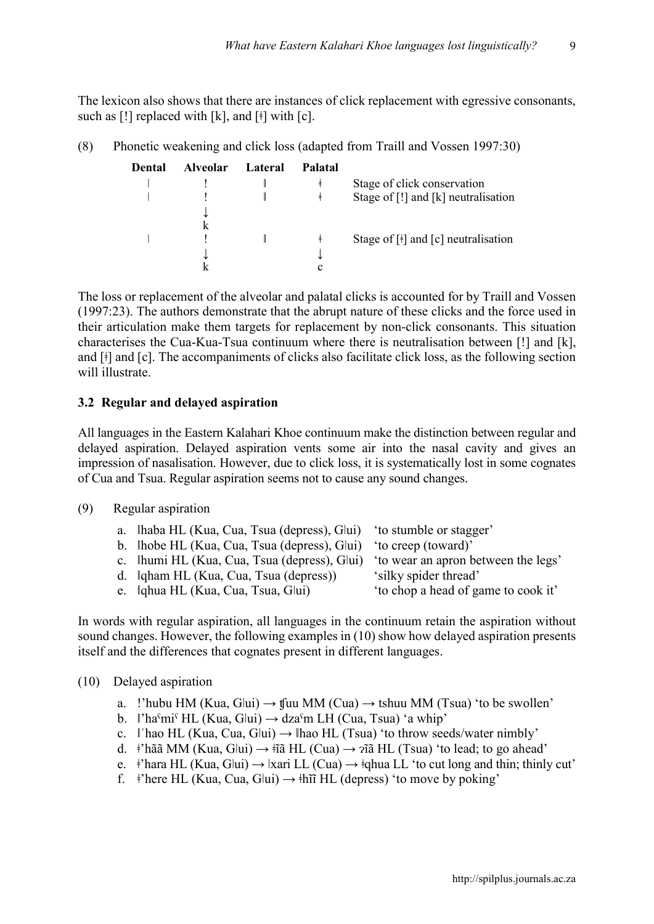9

The lexicon also shows that there are instances of click replacement with egressive consonants, such as  $[!]$  replaced with  $[k]$ , and  $[!]$  with  $[c]$ .

(8) Phonetic weakening and click loss (adapted from Traill and Vossen 1997:30)

| Dental | <b>Alveolar</b> | Lateral | Palatal |                                                                           |
|--------|-----------------|---------|---------|---------------------------------------------------------------------------|
|        |                 |         | ŧ       | Stage of click conservation                                               |
|        |                 |         | ŧ       | Stage of $[!]$ and $[k]$ neutralisation                                   |
|        |                 |         |         |                                                                           |
|        |                 |         |         |                                                                           |
|        |                 |         | ŧ       | Stage of $\lceil \frac{1}{2} \rceil$ and $\lceil c \rceil$ neutralisation |
|        |                 |         |         |                                                                           |
|        |                 |         | c       |                                                                           |

The loss or replacement of the alveolar and palatal clicks is accounted for by Traill and Vossen (1997:23). The authors demonstrate that the abrupt nature of these clicks and the force used in their articulation make them targets for replacement by non-click consonants. This situation characterises the Cua-Kua-Tsua continuum where there is neutralisation between [ǃ] and [k], and [ǂ] and [c]. The accompaniments of clicks also facilitate click loss, as the following section will illustrate

#### **3.2 Regular and delayed aspiration**

All languages in the Eastern Kalahari Khoe continuum make the distinction between regular and delayed aspiration. Delayed aspiration vents some air into the nasal cavity and gives an impression of nasalisation. However, due to click loss, it is systematically lost in some cognates of Cua and Tsua. Regular aspiration seems not to cause any sound changes.

#### (9) Regular aspiration

| a. lhaba HL (Kua, Cua, Tsua (depress), Glui) 'to stumble or stagger'            |                                     |
|---------------------------------------------------------------------------------|-------------------------------------|
| b. lhobe HL (Kua, Cua, Tsua (depress), Glui) 'to creep (toward)'                |                                     |
| c. Ihumi HL (Kua, Cua, Tsua (depress), Glui) to wear an apron between the legs' |                                     |
| d.   qham HL (Kua, Cua, Tsua (depress))                                         | 'silky spider thread'               |
| e.   qhua HL (Kua, Cua, Tsua, Glui)                                             | 'to chop a head of game to cook it' |

In words with regular aspiration, all languages in the continuum retain the aspiration without sound changes. However, the following examples in (10) show how delayed aspiration presents itself and the differences that cognates present in different languages.

#### (10) Delayed aspiration

- a. !'hubu HM (Kua, G $\vert$ ui)  $\rightarrow$  tfuu MM (Cua)  $\rightarrow$  tshuu MM (Tsua) 'to be swollen'
- b.  $\|$ 'haˤmiˤ HL (Kua, G $\|$ ui)  $\rightarrow$  dzaˤm LH (Cua, Tsua) 'a whip'
- c.  $\parallel$  hao HL (Kua, Cua, G|ui)  $\rightarrow$   $\parallel$  hao HL (Tsua) 'to throw seeds/water nimbly'
- d. <sup>‡</sup>'hãã MM (Kua, G|ui)  $\rightarrow$   $\tilde{\text{Ha}}$  HL (Cua)  $\rightarrow$   $\tilde{\text{Ha}}$  HL (Tsua) 'to lead; to go ahead'
- e.  $\pm$ 'hara HL (Kua, G|ui)  $\rightarrow$  |xari LL (Cua)  $\rightarrow \pm$ qhua LL 'to cut long and thin; thinly cut'
- f.  $\#$ 'here HL (Kua, Cua, G|ui)  $\rightarrow \#$ i HL (depress) 'to move by poking'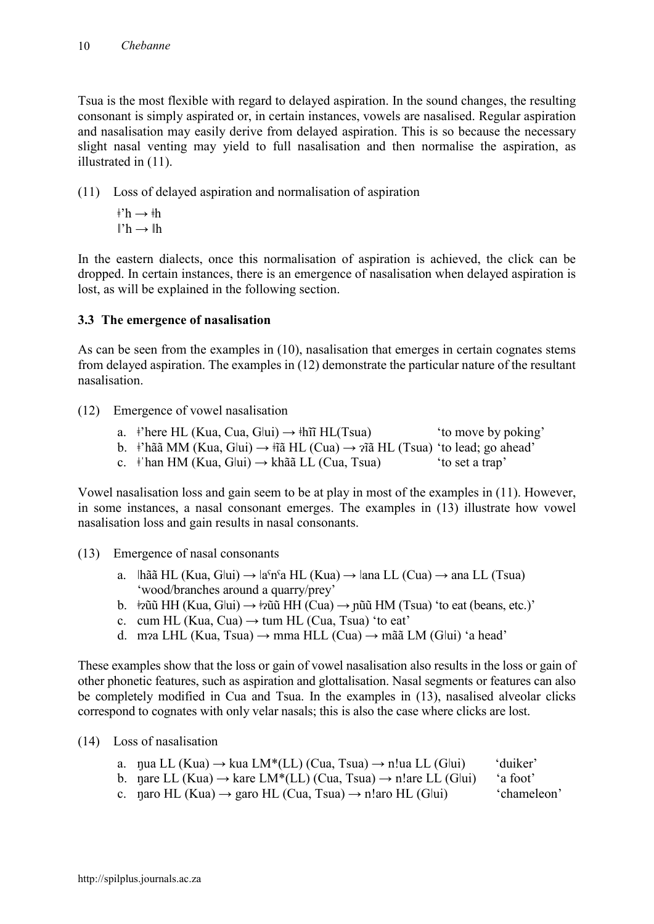Tsua is the most flexible with regard to delayed aspiration. In the sound changes, the resulting consonant is simply aspirated or, in certain instances, vowels are nasalised. Regular aspiration and nasalisation may easily derive from delayed aspiration. This is so because the necessary slight nasal venting may yield to full nasalisation and then normalise the aspiration, as illustrated in (11).

(11) Loss of delayed aspiration and normalisation of aspiration

 $\pm h \rightarrow \pm h$  $l'h \rightarrow lh$ 

In the eastern dialects, once this normalisation of aspiration is achieved, the click can be dropped. In certain instances, there is an emergence of nasalisation when delayed aspiration is lost, as will be explained in the following section.

## **3.3 The emergence of nasalisation**

As can be seen from the examples in (10), nasalisation that emerges in certain cognates stems from delayed aspiration. The examples in (12) demonstrate the particular nature of the resultant nasalisation.

- (12) Emergence of vowel nasalisation
	- a.  $\dot{\tau}$ here HL (Kua, Cua, G $\vert \text{u} \rangle \rightarrow \dot{\tau}$ hi HL(Tsua) 'to move by poking'
	- b. <sup>‡</sup>'hãã MM (Kua, G|ui)  $\rightarrow$   $\frac{1}{2}$ î HL (Cua)  $\rightarrow$   $\frac{1}{2}$ î HL (Tsua) 'to lead; go ahead'
	- c.  $\pm$ 'han HM (Kua, G|ui)  $\rightarrow$  khãã LL (Cua, Tsua) 'to set a trap'

Vowel nasalisation loss and gain seem to be at play in most of the examples in (11). However, in some instances, a nasal consonant emerges. The examples in (13) illustrate how vowel nasalisation loss and gain results in nasal consonants.

- (13) Emergence of nasal consonants
	- a.  $\text{lh\tilde{a}\tilde{a} HL}$  (Kua, G $\text{lu\tilde{i}}$ )  $\rightarrow \text{la}^c \text{h\tilde{a} HL}$  (Kua)  $\rightarrow \text{lan\text{a} LL}$  (Cua)  $\rightarrow \text{ana} LL$  (Tsua) 'wood/branches around a quarry/prey'
	- b.  $\frac{1}{2}$ pũ HH (Kua, G|ui)  $\rightarrow \frac{1}{2}$ ũũ HH (Cua)  $\rightarrow$  nũũ HM (Tsua) 'to eat (beans, etc.)'
	- c. cum HL (Kua, Cua)  $\rightarrow$  tum HL (Cua, Tsua) 'to eat'
	- d. mɂa LHL (Kua, Tsua) → mma HLL (Cua) → mãã LM (Gǀui) 'a head'

These examples show that the loss or gain of vowel nasalisation also results in the loss or gain of other phonetic features, such as aspiration and glottalisation. Nasal segments or features can also be completely modified in Cua and Tsua. In the examples in (13), nasalised alveolar clicks correspond to cognates with only velar nasals; this is also the case where clicks are lost.

(14) Loss of nasalisation

- a. nua LL (Kua)  $\rightarrow$  kua LM\*(LL) (Cua, Tsua)  $\rightarrow$  n!ua LL (Glui) 'duiker'
- b. nare LL (Kua)  $\rightarrow$  kare LM\*(LL) (Cua, Tsua)  $\rightarrow$  n!are LL (G|ui) 'a foot'
- c. naro HL (Kua)  $\rightarrow$  garo HL (Cua, Tsua)  $\rightarrow$  n!aro HL (G|ui) 'chameleon'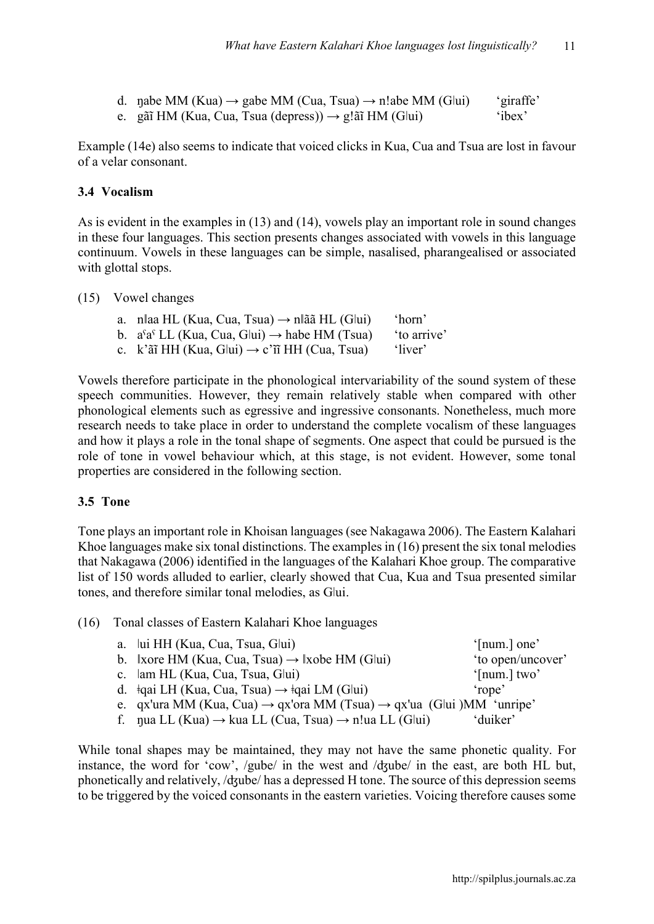| d. nabe MM (Kua) $\rightarrow$ gabe MM (Cua, Tsua) $\rightarrow$ n!abe MM (Glui) | 'giraffe' |
|----------------------------------------------------------------------------------|-----------|
| e. gãi HM (Kua, Cua, Tsua (depress)) $\rightarrow$ g!ãi HM (Glui)                | 'ibex'    |

Example (14e) also seems to indicate that voiced clicks in Kua, Cua and Tsua are lost in favour of a velar consonant.

### **3.4 Vocalism**

As is evident in the examples in (13) and (14), vowels play an important role in sound changes in these four languages. This section presents changes associated with vowels in this language continuum. Vowels in these languages can be simple, nasalised, pharangealised or associated with glottal stops.

#### (15) Vowel changes

| a. n  aa HL (Kua, Cua, Tsua) $\rightarrow$ n  ãã HL (G  ui)      | 'horn'      |
|------------------------------------------------------------------|-------------|
| b. $a^{s}a^{s}$ LL (Kua, Cua, Glui) $\rightarrow$ habe HM (Tsua) | 'to arrive' |
| c. k'ãi HH (Kua, Glui) $\rightarrow$ c'ii HH (Cua, Tsua)         | 'liver'     |

Vowels therefore participate in the phonological intervariability of the sound system of these speech communities. However, they remain relatively stable when compared with other phonological elements such as egressive and ingressive consonants. Nonetheless, much more research needs to take place in order to understand the complete vocalism of these languages and how it plays a role in the tonal shape of segments. One aspect that could be pursued is the role of tone in vowel behaviour which, at this stage, is not evident. However, some tonal properties are considered in the following section.

#### **3.5 Tone**

Tone plays an important role in Khoisan languages (see Nakagawa 2006). The Eastern Kalahari Khoe languages make six tonal distinctions. The examples in (16) present the six tonal melodies that Nakagawa (2006) identified in the languages of the Kalahari Khoe group. The comparative list of 150 words alluded to earlier, clearly showed that Cua, Kua and Tsua presented similar tones, and therefore similar tonal melodies, as Glui.

#### (16) Tonal classes of Eastern Kalahari Khoe languages

| a. lui HH (Kua, Cua, Tsua, Glui)                                                             | '[num.] one'      |
|----------------------------------------------------------------------------------------------|-------------------|
| b. $\forall x$ ore HM (Kua, Cua, Tsua) $\rightarrow \exists x$ obe HM (Glui)                 | 'to open/uncover' |
| c. lam HL (Kua, Cua, Tsua, Glui)                                                             | '[num.] $two'$    |
| d. $\dot{\phi}$ ai LH (Kua, Cua, Tsua) $\rightarrow \dot{\phi}$ ai LM (Glui)                 | 'rope'            |
| e. qx'ura MM (Kua, Cua) $\rightarrow$ qx'ora MM (Tsua) $\rightarrow$ qx'ua (Glui)MM 'unripe' |                   |
| f. nua LL (Kua) $\rightarrow$ kua LL (Cua, Tsua) $\rightarrow$ n!ua LL (Glui)                | 'duiker'          |

While tonal shapes may be maintained, they may not have the same phonetic quality. For instance, the word for 'cow', /gube/ in the west and /ʤube/ in the east, are both HL but, phonetically and relatively, /dʒube/ has a depressed H tone. The source of this depression seems to be triggered by the voiced consonants in the eastern varieties. Voicing therefore causes some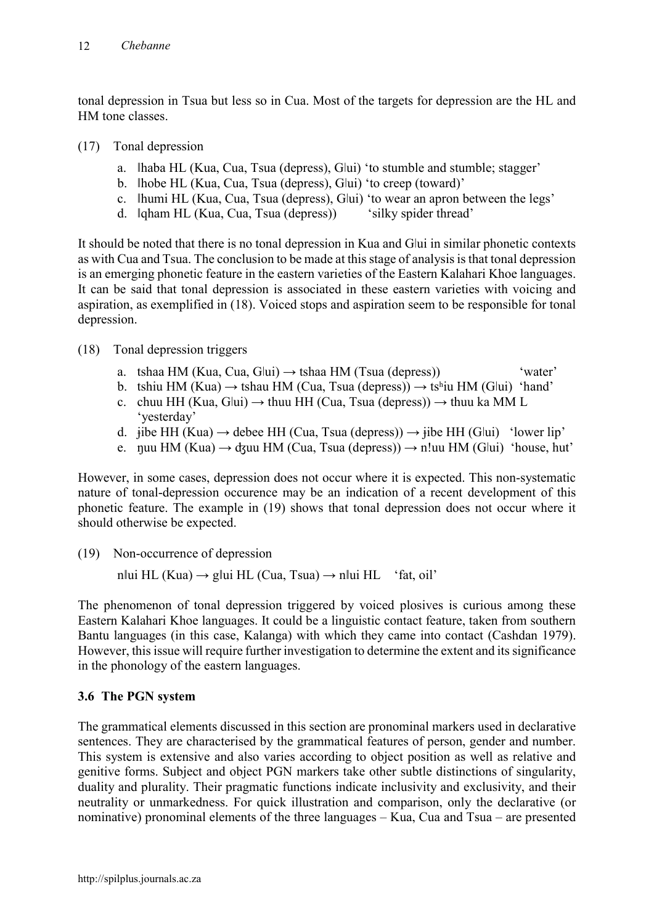tonal depression in Tsua but less so in Cua. Most of the targets for depression are the HL and HM tone classes.

- (17) Tonal depression
	- a. Ihaba HL (Kua, Cua, Tsua (depress), Glui) 'to stumble and stumble; stagger'
	- b. lhobe HL (Kua, Cua, Tsua (depress), Glui) 'to creep (toward)'
	- c. ǁhumi HL (Kua, Cua, Tsua (depress), Gǀui) 'to wear an apron between the legs'
	- d. Igham HL (Kua, Cua, Tsua (depress)) 'silky spider thread'

It should be noted that there is no tonal depression in Kua and Gǀui in similar phonetic contexts as with Cua and Tsua. The conclusion to be made at this stage of analysis is that tonal depression is an emerging phonetic feature in the eastern varieties of the Eastern Kalahari Khoe languages. It can be said that tonal depression is associated in these eastern varieties with voicing and aspiration, as exemplified in (18). Voiced stops and aspiration seem to be responsible for tonal depression.

## (18) Tonal depression triggers

- a. tshaa HM (Kua, Cua, G $\vert \text{u} \rangle \rightarrow$  tshaa HM (Tsua (depress)) 'water'
- b. tshiu HM (Kua)  $\rightarrow$  tshau HM (Cua, Tsua (depress))  $\rightarrow$  tshiu HM (G|ui) 'hand'
- c. chuu HH (Kua, G $\vert$ ui)  $\rightarrow$  thuu HH (Cua, Tsua (depress))  $\rightarrow$  thuu ka MM L 'yesterday'
- d.  $\phi$ ibe HH (Kua)  $\rightarrow$  debee HH (Cua, Tsua (depress))  $\rightarrow$   $\phi$ ibe HH (G|ui) 'lower lip'
- e. nuu HM (Kua)  $\rightarrow$  dzuu HM (Cua, Tsua (depress))  $\rightarrow$  n!uu HM (Glui) 'house, hut'

However, in some cases, depression does not occur where it is expected. This non-systematic nature of tonal-depression occurence may be an indication of a recent development of this phonetic feature. The example in (19) shows that tonal depression does not occur where it should otherwise be expected.

(19) Non-occurrence of depression

n $\text{I} \cup \text{I} \cup \text{I} \cup \text{I} \cup \text{I} \cup \text{I} \cup \text{I} \cup \text{I} \cup \text{I} \cup \text{I} \cup \text{I} \cup \text{I} \cup \text{I} \cup \text{I} \cup \text{I} \cup \text{I} \cup \text{I} \cup \text{I} \cup \text{I} \cup \text{I} \cup \text{I} \cup \text{I} \cup \text{I} \cup \text{I} \cup \text{I} \cup \text{I} \cup \text{I} \cup \text{I} \cup \text{I} \cup \text{I} \cup \text{I} \cup \text$ 

The phenomenon of tonal depression triggered by voiced plosives is curious among these Eastern Kalahari Khoe languages. It could be a linguistic contact feature, taken from southern Bantu languages (in this case, Kalanga) with which they came into contact (Cashdan 1979). However, this issue will require further investigation to determine the extent and its significance in the phonology of the eastern languages.

## **3.6 The PGN system**

The grammatical elements discussed in this section are pronominal markers used in declarative sentences. They are characterised by the grammatical features of person, gender and number. This system is extensive and also varies according to object position as well as relative and genitive forms. Subject and object PGN markers take other subtle distinctions of singularity, duality and plurality. Their pragmatic functions indicate inclusivity and exclusivity, and their neutrality or unmarkedness. For quick illustration and comparison, only the declarative (or nominative) pronominal elements of the three languages – Kua, Cua and Tsua – are presented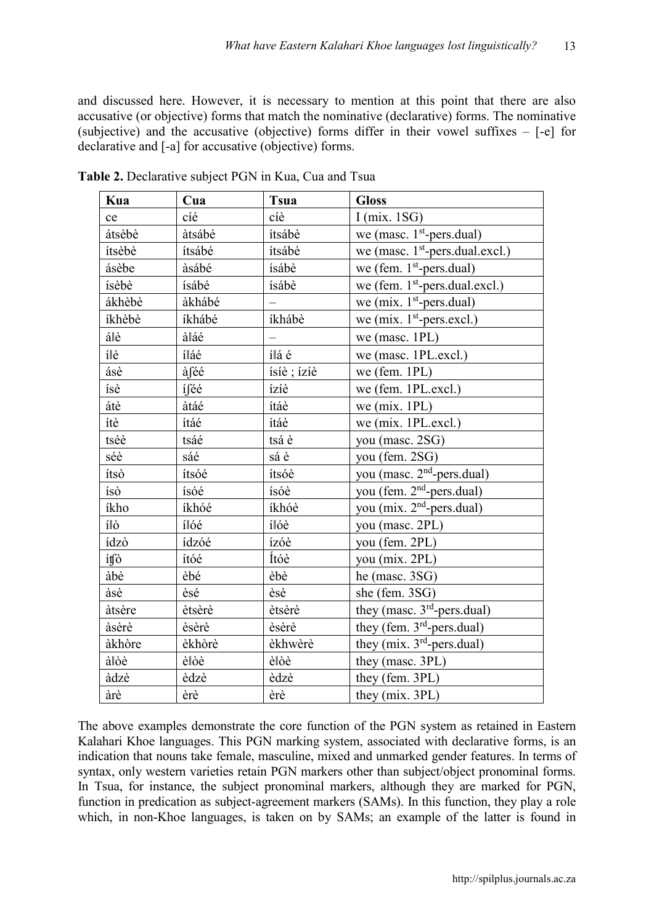and discussed here. However, it is necessary to mention at this point that there are also accusative (or objective) forms that match the nominative (declarative) forms. The nominative (subjective) and the accusative (objective) forms differ in their vowel suffixes – [-e] for declarative and [-a] for accusative (objective) forms.

| Kua    | Cua    | <b>Tsua</b>              | <b>Gloss</b>                               |
|--------|--------|--------------------------|--------------------------------------------|
| ce     | cíé    | cíè                      | I (mix. $1SG$ )                            |
| átsèbè | àtsábé | ítsábè                   | we (masc. $1st$ -pers.dual)                |
| ítsèbè | ítsábé | ítsábè                   | we (masc. $1st$ -pers.dual.excl.)          |
| ásèbe  | àsábé  | ísábè                    | we (fem. $1st$ -pers.dual)                 |
| ísèbè  | ísábé  | ísábè                    | we (fem. 1 <sup>st</sup> -pers.dual.excl.) |
| ákhèbè | àkhábé | $\overline{\phantom{0}}$ | we (mix. $1st$ -pers.dual)                 |
| íkhèbè | íkhábé | íkhábè                   | we (mix. $1st$ -pers.excl.)                |
| álè    | àláé   | $\overline{\phantom{0}}$ | we (masc. $1PL$ )                          |
| ílè    | íláé   | ílá é                    | we (masc. 1PL.excl.)                       |
| ásè    | àféé   | ísíè ; ízíè              | we (fem. $1PL$ )                           |
| ísè    | íféé   | ízíè                     | we (fem. 1PL.excl.)                        |
| átè    | àtáé   | ítáè                     | we (mix. $1PL$ )                           |
| ítè    | ítáé   | ítáè                     | we (mix. 1PL.excl.)                        |
| tséè   | tsáé   | tsá è                    | you (masc. 2SG)                            |
| séè    | sáé    | sá è                     | you (fem. 2SG)                             |
| ítsò   | ítsóé  | ítsóè                    | you (masc. 2 <sup>nd</sup> -pers.dual)     |
| ísò    | ísóé   | ísóè                     | you (fem. 2 <sup>nd</sup> -pers.dual)      |
| íkho   | íkhóé  | íkhóè                    | you (mix. 2 <sup>nd</sup> -pers.dual)      |
| 10     | ílóé   | ílóè                     | you (masc. 2PL)                            |
| ídzò   | ídzóé  | ízóè                     | you (fem. 2PL)                             |
| ítfò   | ítóé   | Ítóè                     | you (mix. 2PL)                             |
| àbè    | èbé    | èbè                      | he (masc. $3SG$ )                          |
| àsè    | èsé    | èsè                      | she (fem. 3SG)                             |
| àtsère | ètsèrè | ètsèrè                   | they (masc. 3 <sup>rd</sup> -pers.dual)    |
| àsèrè  | èsèrè  | èsèrè                    | they (fem. $3rd$ -pers.dual)               |
| àkhòre | èkhòrè | èkhwèrè                  | they (mix. $3rd$ -pers.dual)               |
| àlòè   | èlòè   | èlòè                     | they (masc. 3PL)                           |
| àdzè   | èdzè   | èdzè                     | they (fem. 3PL)                            |
| àrè    | èrè    | èrè                      | they (mix. 3PL)                            |

**Table 2.** Declarative subject PGN in Kua, Cua and Tsua

The above examples demonstrate the core function of the PGN system as retained in Eastern Kalahari Khoe languages. This PGN marking system, associated with declarative forms, is an indication that nouns take female, masculine, mixed and unmarked gender features. In terms of syntax, only western varieties retain PGN markers other than subject/object pronominal forms. In Tsua, for instance, the subject pronominal markers, although they are marked for PGN, function in predication as subject-agreement markers (SAMs). In this function, they play a role which, in non-Khoe languages, is taken on by SAMs; an example of the latter is found in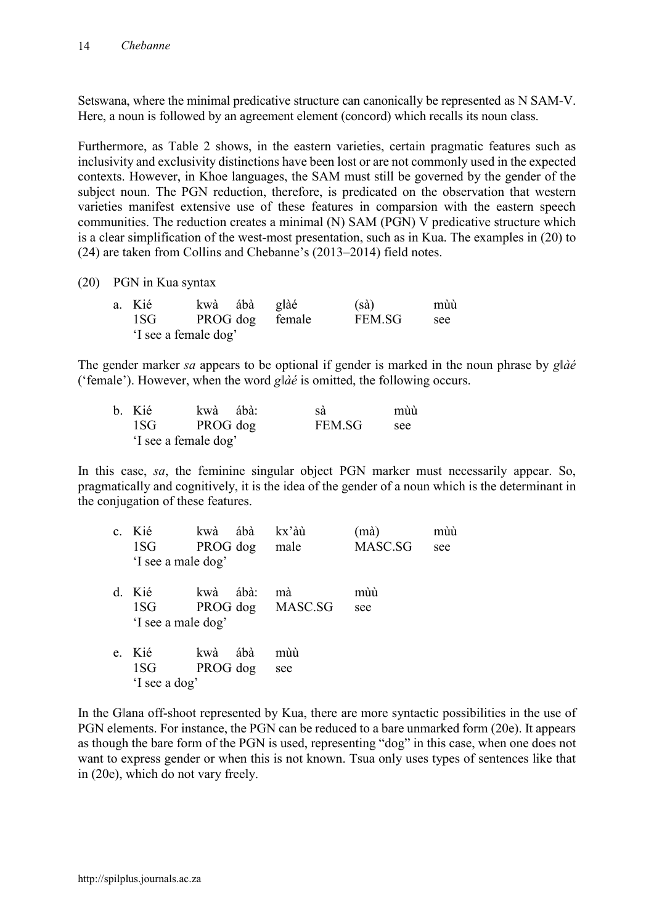Setswana, where the minimal predicative structure can canonically be represented as N SAM-V. Here, a noun is followed by an agreement element (concord) which recalls its noun class.

Furthermore, as Table 2 shows, in the eastern varieties, certain pragmatic features such as inclusivity and exclusivity distinctions have been lost or are not commonly used in the expected contexts. However, in Khoe languages, the SAM must still be governed by the gender of the subject noun. The PGN reduction, therefore, is predicated on the observation that western varieties manifest extensive use of these features in comparsion with the eastern speech communities. The reduction creates a minimal (N) SAM (PGN) V predicative structure which is a clear simplification of the west-most presentation, such as in Kua. The examples in (20) to (24) are taken from Collins and Chebanne's (2013–2014) field notes.

(20) PGN in Kua syntax

| a. Kié               | kwà ábà g  àé   | $(s\grave{a})$ | mùù |
|----------------------|-----------------|----------------|-----|
| 1SG                  | PROG dog female | FEM.SG         | see |
| 'I see a female dog' |                 |                |     |

The gender marker *sa* appears to be optional if gender is marked in the noun phrase by *g*|*àé* ('female'). However, when the word *gǁàé* is omitted, the following occurs.

| b. Kié               | kwà ábà: | sà     | mùù |
|----------------------|----------|--------|-----|
| 1SG                  | PROG dog | FEM.SG | see |
| 'I see a female dog' |          |        |     |

In this case, *sa*, the feminine singular object PGN marker must necessarily appear. So, pragmatically and cognitively, it is the idea of the gender of a noun which is the determinant in the conjugation of these features.

| $\mathbf{c}$ . | Kié<br>1SG<br>'I see a male dog'   | kwà<br>PROG dog | ábà  | kx'àù<br>male          | (mà)<br>MASC.SG | mùù<br>see |
|----------------|------------------------------------|-----------------|------|------------------------|-----------------|------------|
| d.             | Kié<br>1SG —<br>'I see a male dog' | kwà             | ábà: | mà<br>PROG dog MASC.SG | mùù<br>see      |            |
| e.             | Kié<br>1SG<br>'I see a dog'        | kwà<br>PROG dog | ábà  | mùù<br>see             |                 |            |

In the Gǁana off-shoot represented by Kua, there are more syntactic possibilities in the use of PGN elements. For instance, the PGN can be reduced to a bare unmarked form (20e). It appears as though the bare form of the PGN is used, representing "dog" in this case, when one does not want to express gender or when this is not known. Tsua only uses types of sentences like that in (20e), which do not vary freely.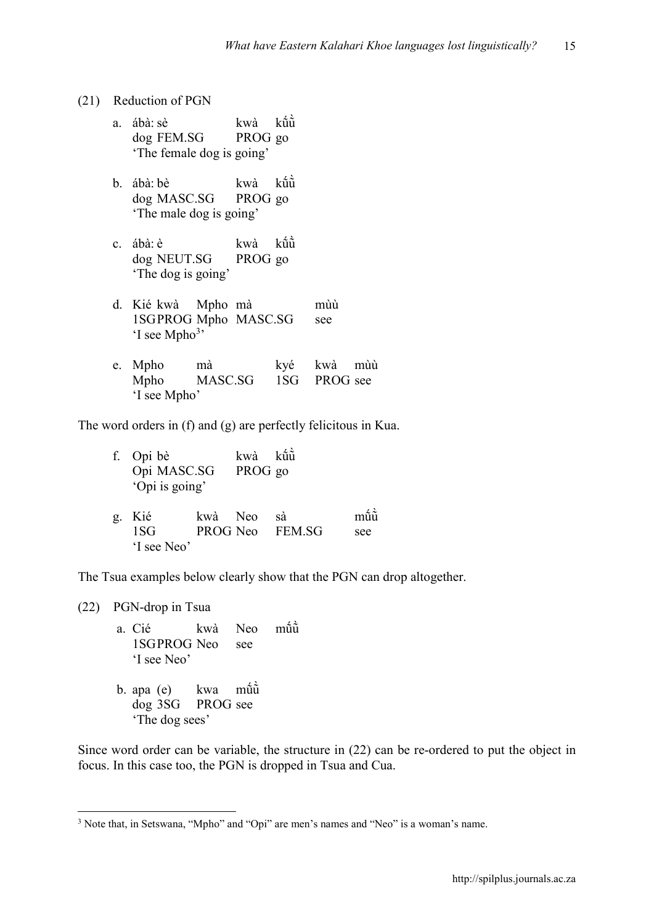#### (21) Reduction of PGN

|    | a. ábà: sè<br>dog FEM.SG PROG go<br>The female dog is going'              | kwà     | $k\hat{u}$ |             |  |
|----|---------------------------------------------------------------------------|---------|------------|-------------|--|
|    | b. ábà: bè<br>dog MASC.SG PROG go<br>The male dog is going'               | kwà kũũ |            |             |  |
|    | c. ábà: è<br>dog NEUT.SG PROG go<br>'The dog is going'                    | kwà kũũ |            |             |  |
|    | d. Kié kwà Mpho mà<br>1SGPROG Mpho MASC.SG<br>$\lq$ see Mpho <sup>3</sup> |         |            | mùù<br>see  |  |
| e. | Mpho mà<br>Mpho MASC.SG 1SG PROG see<br>'I see Mpho'                      |         |            | kyé kwà mùù |  |

The word orders in (f) and (g) are perfectly felicitous in Kua.

|              | f. Opi bè<br>Opi MASC.SG<br>'Opi is going' |         | kwà<br>PROG go | kũù                   |            |
|--------------|--------------------------------------------|---------|----------------|-----------------------|------------|
| $\mathbf{g}$ | Kié<br>1SG<br>'I see Neo'                  | kwà Neo |                | sà<br>PROG Neo FEM.SG | mũù<br>see |

The Tsua examples below clearly show that the PGN can drop altogether.

(22) PGN-drop in Tsua

- a. Cié kwà Neo můů<br>1SGPROG Neo see ̀ 1SGPROG Neo 'I see Neo'
- b. apa (e) kwa mū̂uū̀ ̀ dog 3SG PROG see 'The dog sees'

Since word order can be variable, the structure in (22) can be re-ordered to put the object in focus. In this case too, the PGN is dropped in Tsua and Cua.

 <sup>3</sup> Note that, in Setswana, "Mpho" and "Opi" are men's names and "Neo" is a woman's name.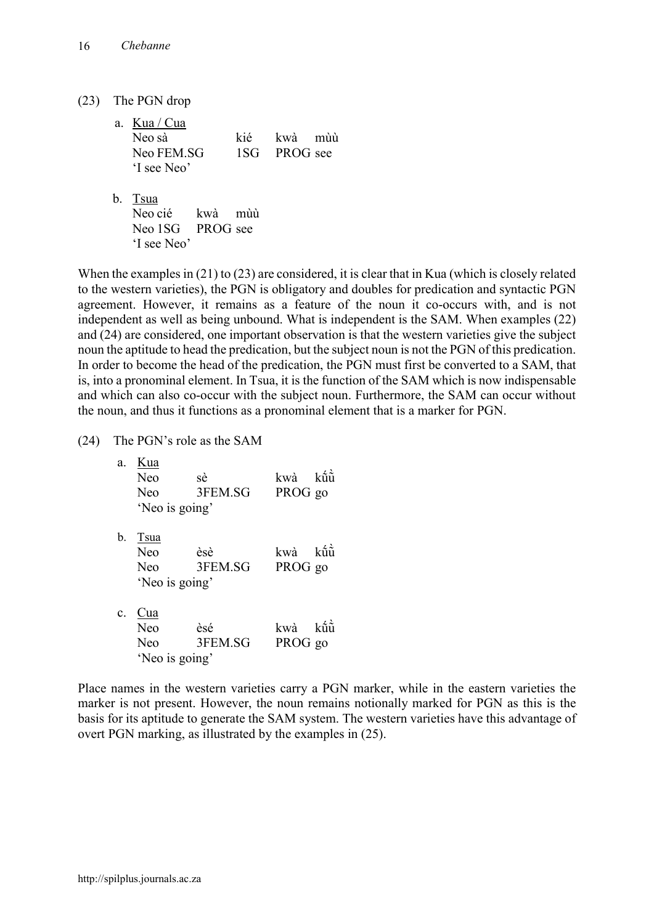(23) The PGN drop

| a. Kua / Cua              |       |              |  |
|---------------------------|-------|--------------|--|
| Neo sà                    | kié – | kwà mùù      |  |
| Neo FEM.SG<br>'I see Neo' |       | 1SG PROG see |  |
| b. Tsua                   |       |              |  |

Neo cié kwà mùù Neo 1SG PROG see 'I see Neo'

When the examples in (21) to (23) are considered, it is clear that in Kua (which is closely related to the western varieties), the PGN is obligatory and doubles for predication and syntactic PGN agreement. However, it remains as a feature of the noun it co-occurs with, and is not independent as well as being unbound. What is independent is the SAM. When examples (22) and (24) are considered, one important observation is that the western varieties give the subject noun the aptitude to head the predication, but the subject noun is not the PGN of this predication. In order to become the head of the predication, the PGN must first be converted to a SAM, that is, into a pronominal element. In Tsua, it is the function of the SAM which is now indispensable and which can also co-occur with the subject noun. Furthermore, the SAM can occur without the noun, and thus it functions as a pronominal element that is a marker for PGN.

(24) The PGN's role as the SAM

| a.             | Kua<br>Neo<br><b>Neo</b><br>'Neo is going'         | sè<br>3FEM.SG  | kwà<br>PROG go | $k\hat{\mathbf{n}}\hat{\mathbf{n}}$ |
|----------------|----------------------------------------------------|----------------|----------------|-------------------------------------|
| b.             | Tsua<br><b>Neo</b><br><b>Neo</b><br>'Neo is going' | èsè<br>3FEM.SG | kwà<br>PROG go | kũũ                                 |
| $\mathbf{c}$ . | Cua<br>Neo<br>Neo<br>'Neo is going'                | èsé<br>3FEM.SG | kwà<br>PROG go | kîñ                                 |

Place names in the western varieties carry a PGN marker, while in the eastern varieties the marker is not present. However, the noun remains notionally marked for PGN as this is the basis for its aptitude to generate the SAM system. The western varieties have this advantage of overt PGN marking, as illustrated by the examples in (25).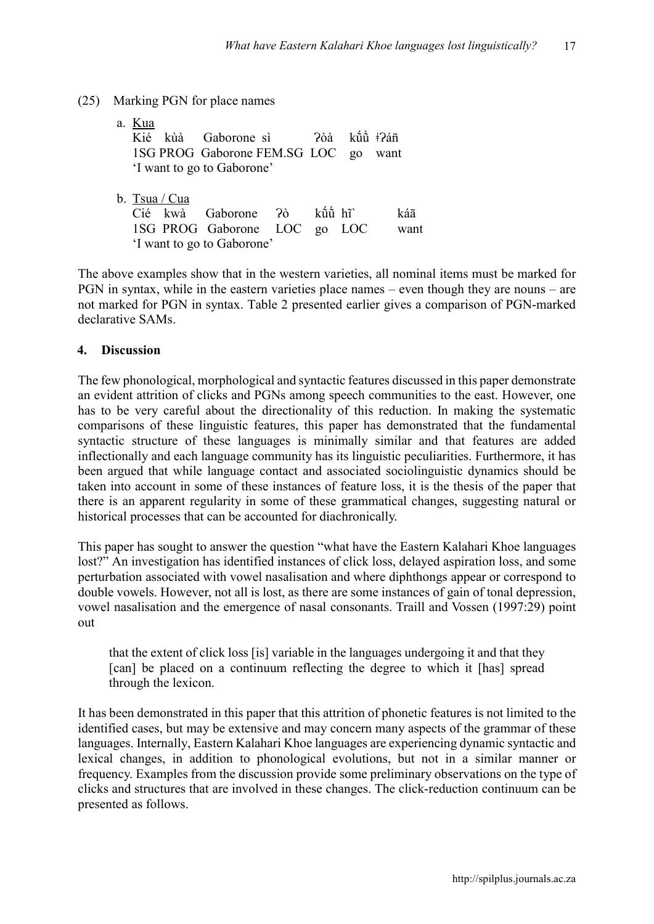## (25) Marking PGN for place names

- a. Kua Kié kùà Gaborone sì ?òà kū̂ů ‡?án 1SG PROG Gaborone FEM.SG LOC go want 'I want to go to Gaborone' b. Tsua / Cua
	- Cié kwà Gaborone Ɂò kṹũ̀ hĩˋ káā 1SG PROG Gaborone LOC go LOC want 'I want to go to Gaborone'

The above examples show that in the western varieties, all nominal items must be marked for PGN in syntax, while in the eastern varieties place names – even though they are nouns – are not marked for PGN in syntax. Table 2 presented earlier gives a comparison of PGN-marked declarative SAMs.

## **4. Discussion**

The few phonological, morphological and syntactic features discussed in this paper demonstrate an evident attrition of clicks and PGNs among speech communities to the east. However, one has to be very careful about the directionality of this reduction. In making the systematic comparisons of these linguistic features, this paper has demonstrated that the fundamental syntactic structure of these languages is minimally similar and that features are added inflectionally and each language community has its linguistic peculiarities. Furthermore, it has been argued that while language contact and associated sociolinguistic dynamics should be taken into account in some of these instances of feature loss, it is the thesis of the paper that there is an apparent regularity in some of these grammatical changes, suggesting natural or historical processes that can be accounted for diachronically.

This paper has sought to answer the question "what have the Eastern Kalahari Khoe languages lost?" An investigation has identified instances of click loss, delayed aspiration loss, and some perturbation associated with vowel nasalisation and where diphthongs appear or correspond to double vowels. However, not all is lost, as there are some instances of gain of tonal depression, vowel nasalisation and the emergence of nasal consonants. Traill and Vossen (1997:29) point out

that the extent of click loss [is] variable in the languages undergoing it and that they [can] be placed on a continuum reflecting the degree to which it [has] spread through the lexicon.

It has been demonstrated in this paper that this attrition of phonetic features is not limited to the identified cases, but may be extensive and may concern many aspects of the grammar of these languages. Internally, Eastern Kalahari Khoe languages are experiencing dynamic syntactic and lexical changes, in addition to phonological evolutions, but not in a similar manner or frequency. Examples from the discussion provide some preliminary observations on the type of clicks and structures that are involved in these changes. The click-reduction continuum can be presented as follows.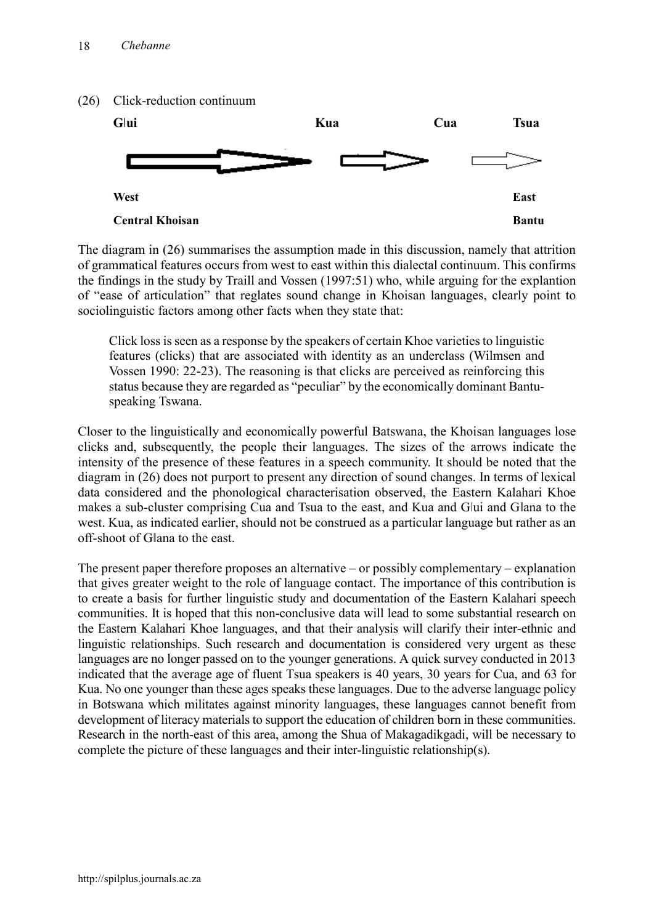

The diagram in (26) summarises the assumption made in this discussion, namely that attrition of grammatical features occurs from west to east within this dialectal continuum. This confirms the findings in the study by Traill and Vossen (1997:51) who, while arguing for the explantion of "ease of articulation" that reglates sound change in Khoisan languages, clearly point to sociolinguistic factors among other facts when they state that:

Click loss is seen as a response by the speakers of certain Khoe varieties to linguistic features (clicks) that are associated with identity as an underclass (Wilmsen and Vossen 1990: 22-23). The reasoning is that clicks are perceived as reinforcing this status because they are regarded as "peculiar" by the economically dominant Bantuspeaking Tswana.

Closer to the linguistically and economically powerful Batswana, the Khoisan languages lose clicks and, subsequently, the people their languages. The sizes of the arrows indicate the intensity of the presence of these features in a speech community. It should be noted that the diagram in (26) does not purport to present any direction of sound changes. In terms of lexical data considered and the phonological characterisation observed, the Eastern Kalahari Khoe makes a sub-cluster comprising Cua and Tsua to the east, and Kua and Glui and Glana to the west. Kua, as indicated earlier, should not be construed as a particular language but rather as an off-shoot of Gǁana to the east.

The present paper therefore proposes an alternative – or possibly complementary – explanation that gives greater weight to the role of language contact. The importance of this contribution is to create a basis for further linguistic study and documentation of the Eastern Kalahari speech communities. It is hoped that this non-conclusive data will lead to some substantial research on the Eastern Kalahari Khoe languages, and that their analysis will clarify their inter-ethnic and linguistic relationships. Such research and documentation is considered very urgent as these languages are no longer passed on to the younger generations. A quick survey conducted in 2013 indicated that the average age of fluent Tsua speakers is 40 years, 30 years for Cua, and 63 for Kua. No one younger than these ages speaks these languages. Due to the adverse language policy in Botswana which militates against minority languages, these languages cannot benefit from development of literacy materials to support the education of children born in these communities. Research in the north-east of this area, among the Shua of Makagadikgadi, will be necessary to complete the picture of these languages and their inter-linguistic relationship(s).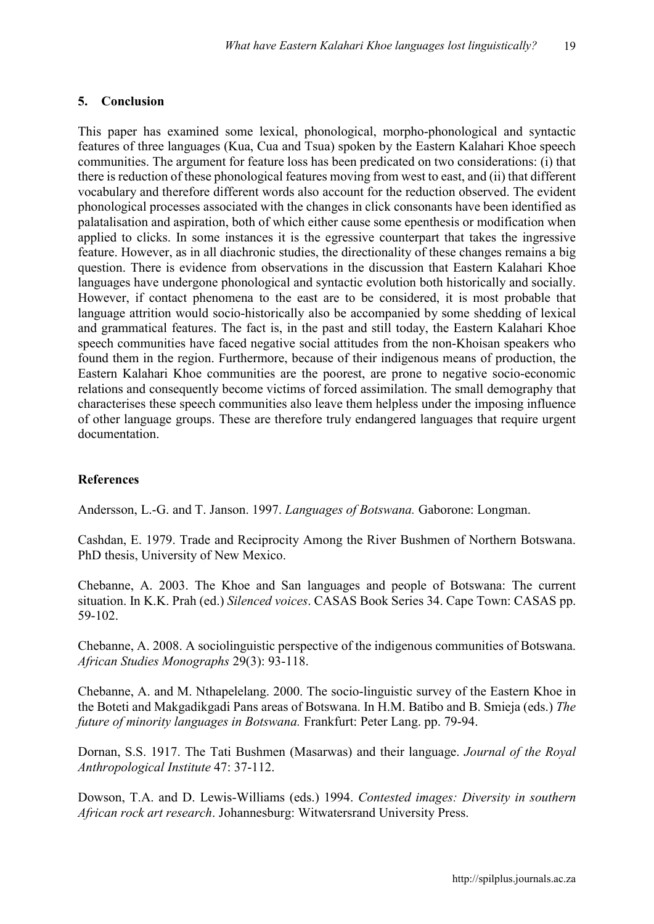#### **5. Conclusion**

This paper has examined some lexical, phonological, morpho-phonological and syntactic features of three languages (Kua, Cua and Tsua) spoken by the Eastern Kalahari Khoe speech communities. The argument for feature loss has been predicated on two considerations: (i) that there is reduction of these phonological features moving from west to east, and (ii) that different vocabulary and therefore different words also account for the reduction observed. The evident phonological processes associated with the changes in click consonants have been identified as palatalisation and aspiration, both of which either cause some epenthesis or modification when applied to clicks. In some instances it is the egressive counterpart that takes the ingressive feature. However, as in all diachronic studies, the directionality of these changes remains a big question. There is evidence from observations in the discussion that Eastern Kalahari Khoe languages have undergone phonological and syntactic evolution both historically and socially. However, if contact phenomena to the east are to be considered, it is most probable that language attrition would socio-historically also be accompanied by some shedding of lexical and grammatical features. The fact is, in the past and still today, the Eastern Kalahari Khoe speech communities have faced negative social attitudes from the non-Khoisan speakers who found them in the region. Furthermore, because of their indigenous means of production, the Eastern Kalahari Khoe communities are the poorest, are prone to negative socio-economic relations and consequently become victims of forced assimilation. The small demography that characterises these speech communities also leave them helpless under the imposing influence of other language groups. These are therefore truly endangered languages that require urgent documentation.

#### **References**

Andersson, L.-G. and T. Janson. 1997. *Languages of Botswana.* Gaborone: Longman.

Cashdan, E. 1979. Trade and Reciprocity Among the River Bushmen of Northern Botswana. PhD thesis, University of New Mexico.

Chebanne, A. 2003. The Khoe and San languages and people of Botswana: The current situation. In K.K. Prah (ed.) *Silenced voices*. CASAS Book Series 34. Cape Town: CASAS pp. 59-102.

Chebanne, A. 2008. A sociolinguistic perspective of the indigenous communities of Botswana. *African Studies Monographs* 29(3): 93-118.

Chebanne, A. and M. Nthapelelang. 2000. The socio-linguistic survey of the Eastern Khoe in the Boteti and Makgadikgadi Pans areas of Botswana. In H.M. Batibo and B. Smieja (eds.) *The future of minority languages in Botswana.* Frankfurt: Peter Lang. pp. 79-94.

Dornan, S.S. 1917. The Tati Bushmen (Masarwas) and their language. *Journal of the Royal Anthropological Institute* 47: 37-112.

Dowson, T.A. and D. Lewis-Williams (eds.) 1994. *Contested images: Diversity in southern African rock art research*. Johannesburg: Witwatersrand University Press.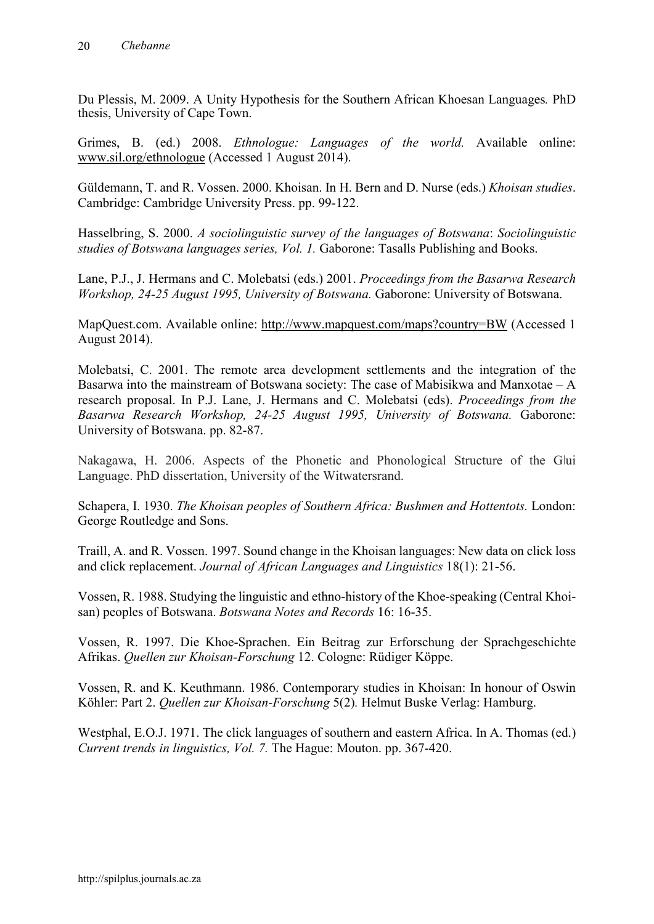Du Plessis, M. 2009. A Unity Hypothesis for the Southern African Khoesan Languages*.* PhD thesis, University of Cape Town.

Grimes, B. (ed.) 2008. *Ethnologue: Languages of the world.* Available online: [www.sil.org/ethnologue](http://www.sil.org/ethnologue) (Accessed 1 August 2014).

Güldemann, T. and R. Vossen. 2000. Khoisan. In H. Bern and D. Nurse (eds.) *Khoisan studies*. Cambridge: Cambridge University Press. pp. 99-122.

Hasselbring, S. 2000. *A sociolinguistic survey of the languages of Botswana*: *Sociolinguistic studies of Botswana languages series, Vol. 1.* Gaborone: Tasalls Publishing and Books.

Lane, P.J., J. Hermans and C. Molebatsi (eds.) 2001. *Proceedings from the Basarwa Research Workshop, 24-25 August 1995, University of Botswana.* Gaborone: University of Botswana.

MapQuest.com. Available online: <http://www.mapquest.com/maps?country=BW> (Accessed 1 August 2014).

Molebatsi, C. 2001. The remote area development settlements and the integration of the Basarwa into the mainstream of Botswana society: The case of Mabisikwa and Manxotae – A research proposal. In P.J. Lane, J. Hermans and C. Molebatsi (eds). *Proceedings from the Basarwa Research Workshop, 24-25 August 1995, University of Botswana.* Gaborone: University of Botswana. pp. 82-87.

Nakagawa, H. 2006. Aspects of the Phonetic and Phonological Structure of the Glui Language. PhD dissertation, University of the Witwatersrand.

Schapera, I. 1930. *The Khoisan peoples of Southern Africa: Bushmen and Hottentots.* London: George Routledge and Sons.

Traill, A. and R. Vossen. 1997. Sound change in the Khoisan languages: New data on click loss and click replacement. *Journal of African Languages and Linguistics* 18(1): 21-56.

Vossen, R. 1988. Studying the linguistic and ethno-history of the Khoe-speaking (Central Khoisan) peoples of Botswana. *Botswana Notes and Records* 16: 16-35.

Vossen, R. 1997. Die Khoe-Sprachen. Ein Beitrag zur Erforschung der Sprachgeschichte Afrikas. *Quellen zur Khoisan-Forschung* 12. Cologne: Rüdiger Köppe.

Vossen, R. and K. Keuthmann. 1986. Contemporary studies in Khoisan: In honour of Oswin Köhler: Part 2. *Quellen zur Khoisan-Forschung* 5(2)*.* Helmut Buske Verlag: Hamburg.

Westphal, E.O.J. 1971. The click languages of southern and eastern Africa. In A. Thomas (ed.) *Current trends in linguistics, Vol. 7.* The Hague: Mouton. pp. 367-420.